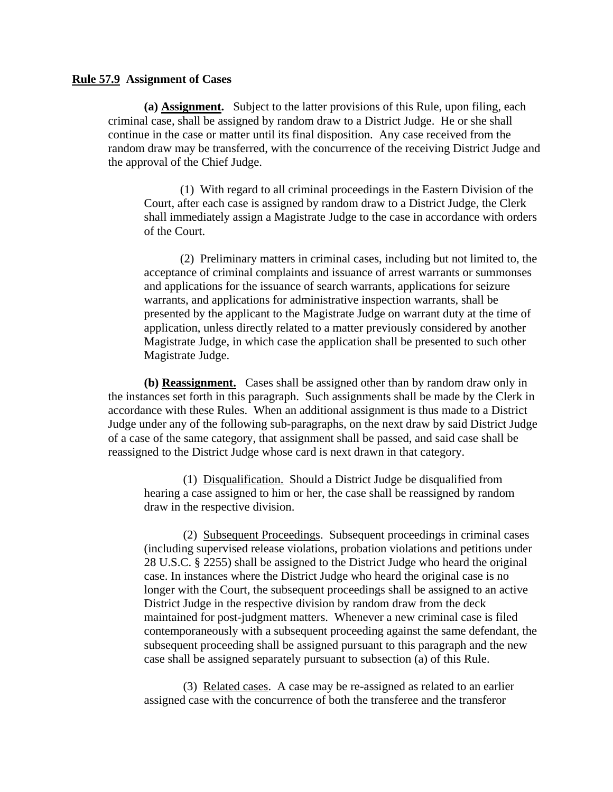## **Rule 57.9 Assignment of Cases**

**(a) Assignment.** Subject to the latter provisions of this Rule, upon filing, each criminal case, shall be assigned by random draw to a District Judge. He or she shall continue in the case or matter until its final disposition. Any case received from the random draw may be transferred, with the concurrence of the receiving District Judge and the approval of the Chief Judge.

(1) With regard to all criminal proceedings in the Eastern Division of the Court, after each case is assigned by random draw to a District Judge, the Clerk shall immediately assign a Magistrate Judge to the case in accordance with orders of the Court.

(2) Preliminary matters in criminal cases, including but not limited to, the acceptance of criminal complaints and issuance of arrest warrants or summonses and applications for the issuance of search warrants, applications for seizure warrants, and applications for administrative inspection warrants, shall be presented by the applicant to the Magistrate Judge on warrant duty at the time of application, unless directly related to a matter previously considered by another Magistrate Judge, in which case the application shall be presented to such other Magistrate Judge.

**(b) Reassignment.** Cases shall be assigned other than by random draw only in the instances set forth in this paragraph. Such assignments shall be made by the Clerk in accordance with these Rules. When an additional assignment is thus made to a District Judge under any of the following sub-paragraphs, on the next draw by said District Judge of a case of the same category, that assignment shall be passed, and said case shall be reassigned to the District Judge whose card is next drawn in that category.

(1) Disqualification. Should a District Judge be disqualified from hearing a case assigned to him or her, the case shall be reassigned by random draw in the respective division.

(2) Subsequent Proceedings. Subsequent proceedings in criminal cases (including supervised release violations, probation violations and petitions under 28 U.S.C. § 2255) shall be assigned to the District Judge who heard the original case. In instances where the District Judge who heard the original case is no longer with the Court, the subsequent proceedings shall be assigned to an active District Judge in the respective division by random draw from the deck maintained for post-judgment matters. Whenever a new criminal case is filed contemporaneously with a subsequent proceeding against the same defendant, the subsequent proceeding shall be assigned pursuant to this paragraph and the new case shall be assigned separately pursuant to subsection (a) of this Rule.

(3) Related cases. A case may be re-assigned as related to an earlier assigned case with the concurrence of both the transferee and the transferor